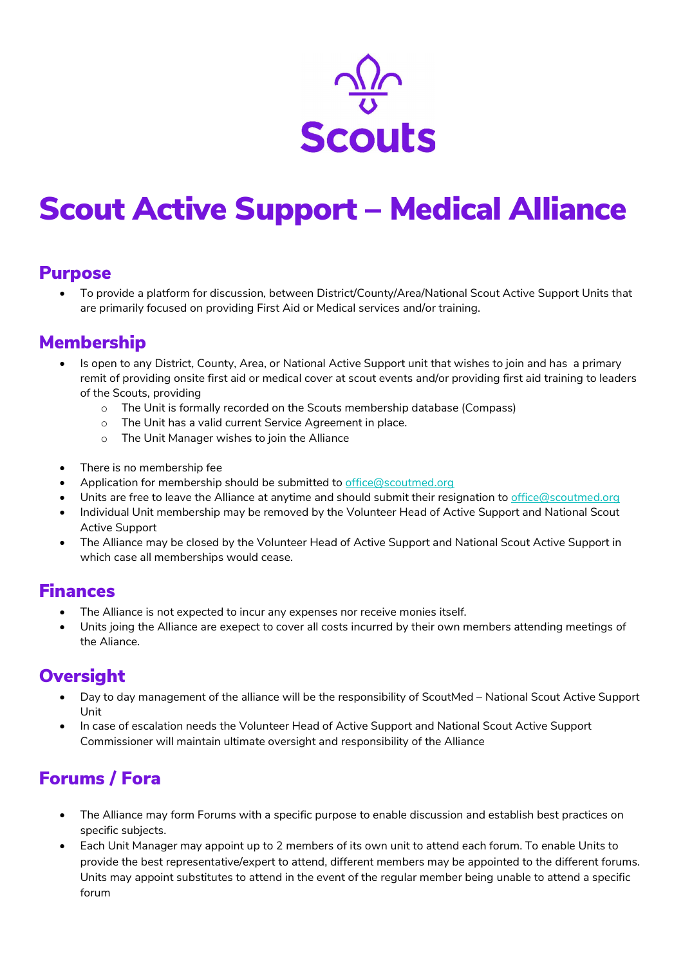

# Scout Active Support – Medical Alliance

#### Purpose

 To provide a platform for discussion, between District/County/Area/National Scout Active Support Units that are primarily focused on providing First Aid or Medical services and/or training.

## Membership

- Is open to any District, County, Area, or National Active Support unit that wishes to join and has a primary remit of providing onsite first aid or medical cover at scout events and/or providing first aid training to leaders of the Scouts, providing
	- o The Unit is formally recorded on the Scouts membership database (Compass)
	- o The Unit has a valid current Service Agreement in place.
	- o The Unit Manager wishes to join the Alliance
- There is no membership fee
- Application for membership should be submitted to office@scoutmed.org
- Units are free to leave the Alliance at anytime and should submit their resignation to office@scoutmed.org
- Individual Unit membership may be removed by the Volunteer Head of Active Support and National Scout Active Support
- The Alliance may be closed by the Volunteer Head of Active Support and National Scout Active Support in which case all memberships would cease.

#### Finances

- The Alliance is not expected to incur any expenses nor receive monies itself.
- Units joing the Alliance are exepect to cover all costs incurred by their own members attending meetings of the Aliance.

## **Oversight**

- Day to day management of the alliance will be the responsibility of ScoutMed National Scout Active Support Unit
- In case of escalation needs the Volunteer Head of Active Support and National Scout Active Support Commissioner will maintain ultimate oversight and responsibility of the Alliance

# Forums / Fora

- The Alliance may form Forums with a specific purpose to enable discussion and establish best practices on specific subjects.
- Each Unit Manager may appoint up to 2 members of its own unit to attend each forum. To enable Units to provide the best representative/expert to attend, different members may be appointed to the different forums. Units may appoint substitutes to attend in the event of the regular member being unable to attend a specific forum